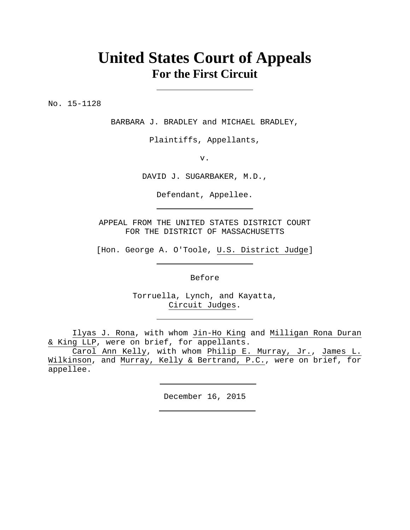# **United States Court of Appeals For the First Circuit**

No. 15-1128

BARBARA J. BRADLEY and MICHAEL BRADLEY,

Plaintiffs, Appellants,

v.

DAVID J. SUGARBAKER, M.D.,

Defendant, Appellee.

APPEAL FROM THE UNITED STATES DISTRICT COURT FOR THE DISTRICT OF MASSACHUSETTS

[Hon. George A. O'Toole, U.S. District Judge]

Before

Torruella, Lynch, and Kayatta, Circuit Judges.

Ilyas J. Rona, with whom Jin-Ho King and Milligan Rona Duran & King LLP, were on brief, for appellants.

Carol Ann Kelly, with whom Philip E. Murray, Jr., James L. Wilkinson, and Murray, Kelly & Bertrand, P.C., were on brief, for appellee.

December 16, 2015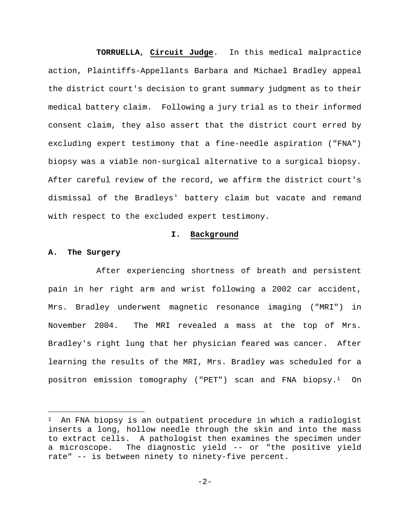**TORRUELLA**, **Circuit Judge**. In this medical malpractice action, Plaintiffs-Appellants Barbara and Michael Bradley appeal the district court's decision to grant summary judgment as to their medical battery claim. Following a jury trial as to their informed consent claim, they also assert that the district court erred by excluding expert testimony that a fine-needle aspiration ("FNA") biopsy was a viable non-surgical alternative to a surgical biopsy. After careful review of the record, we affirm the district court's dismissal of the Bradleys' battery claim but vacate and remand with respect to the excluded expert testimony.

#### **I. Background**

#### **A. The Surgery**

i<br>Li

After experiencing shortness of breath and persistent pain in her right arm and wrist following a 2002 car accident, Mrs. Bradley underwent magnetic resonance imaging ("MRI") in November 2004. The MRI revealed a mass at the top of Mrs. Bradley's right lung that her physician feared was cancer. After learning the results of the MRI, Mrs. Bradley was scheduled for a positron emission tomography ("PET") scan and FNA biopsy.1 On

<sup>&</sup>lt;sup>1</sup> An FNA biopsy is an outpatient procedure in which a radiologist inserts a long, hollow needle through the skin and into the mass to extract cells. A pathologist then examines the specimen under a microscope. The diagnostic yield -- or "the positive yield rate" -- is between ninety to ninety-five percent.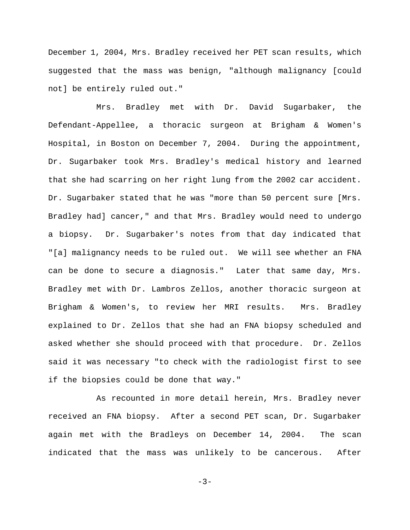December 1, 2004, Mrs. Bradley received her PET scan results, which suggested that the mass was benign, "although malignancy [could not] be entirely ruled out."

Mrs. Bradley met with Dr. David Sugarbaker, the Defendant-Appellee, a thoracic surgeon at Brigham & Women's Hospital, in Boston on December 7, 2004. During the appointment, Dr. Sugarbaker took Mrs. Bradley's medical history and learned that she had scarring on her right lung from the 2002 car accident. Dr. Sugarbaker stated that he was "more than 50 percent sure [Mrs. Bradley had] cancer," and that Mrs. Bradley would need to undergo a biopsy. Dr. Sugarbaker's notes from that day indicated that "[a] malignancy needs to be ruled out. We will see whether an FNA can be done to secure a diagnosis." Later that same day, Mrs. Bradley met with Dr. Lambros Zellos, another thoracic surgeon at Brigham & Women's, to review her MRI results. Mrs. Bradley explained to Dr. Zellos that she had an FNA biopsy scheduled and asked whether she should proceed with that procedure. Dr. Zellos said it was necessary "to check with the radiologist first to see if the biopsies could be done that way."

As recounted in more detail herein, Mrs. Bradley never received an FNA biopsy. After a second PET scan, Dr. Sugarbaker again met with the Bradleys on December 14, 2004. The scan indicated that the mass was unlikely to be cancerous. After

-3-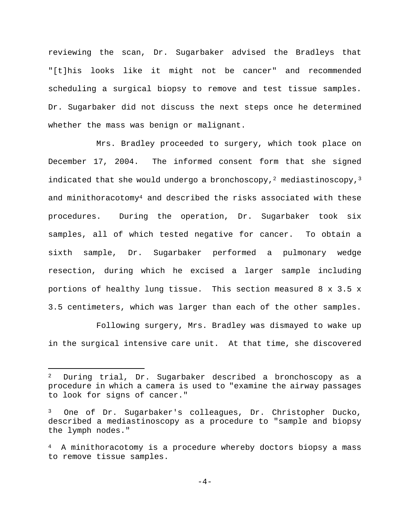reviewing the scan, Dr. Sugarbaker advised the Bradleys that "[t]his looks like it might not be cancer" and recommended scheduling a surgical biopsy to remove and test tissue samples. Dr. Sugarbaker did not discuss the next steps once he determined whether the mass was benign or malignant.

Mrs. Bradley proceeded to surgery, which took place on December 17, 2004. The informed consent form that she signed indicated that she would undergo a bronchoscopy,<sup>2</sup> mediastinoscopy,<sup>3</sup> and minithoracotomy<sup>4</sup> and described the risks associated with these procedures. During the operation, Dr. Sugarbaker took six samples, all of which tested negative for cancer. To obtain a sixth sample, Dr. Sugarbaker performed a pulmonary wedge resection, during which he excised a larger sample including portions of healthy lung tissue. This section measured 8 x 3.5 x 3.5 centimeters, which was larger than each of the other samples.

Following surgery, Mrs. Bradley was dismayed to wake up in the surgical intensive care unit. At that time, she discovered

 $\overline{\phantom{0}}$ 

<sup>2</sup> During trial, Dr. Sugarbaker described a bronchoscopy as a procedure in which a camera is used to "examine the airway passages to look for signs of cancer."

One of Dr. Sugarbaker's colleagues, Dr. Christopher Ducko, described a mediastinoscopy as a procedure to "sample and biopsy the lymph nodes."

<sup>4</sup> A minithoracotomy is a procedure whereby doctors biopsy a mass to remove tissue samples.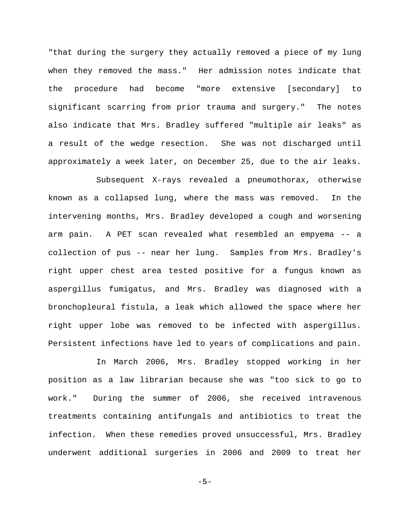"that during the surgery they actually removed a piece of my lung when they removed the mass." Her admission notes indicate that the procedure had become "more extensive [secondary] to significant scarring from prior trauma and surgery." The notes also indicate that Mrs. Bradley suffered "multiple air leaks" as a result of the wedge resection. She was not discharged until approximately a week later, on December 25, due to the air leaks.

Subsequent X-rays revealed a pneumothorax, otherwise known as a collapsed lung, where the mass was removed. In the intervening months, Mrs. Bradley developed a cough and worsening arm pain. A PET scan revealed what resembled an empyema -- a collection of pus -- near her lung. Samples from Mrs. Bradley's right upper chest area tested positive for a fungus known as aspergillus fumigatus, and Mrs. Bradley was diagnosed with a bronchopleural fistula, a leak which allowed the space where her right upper lobe was removed to be infected with aspergillus. Persistent infections have led to years of complications and pain.

In March 2006, Mrs. Bradley stopped working in her position as a law librarian because she was "too sick to go to work." During the summer of 2006, she received intravenous treatments containing antifungals and antibiotics to treat the infection. When these remedies proved unsuccessful, Mrs. Bradley underwent additional surgeries in 2006 and 2009 to treat her

$$
-5-
$$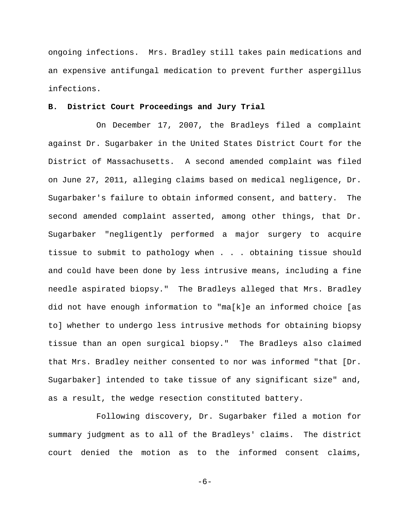ongoing infections. Mrs. Bradley still takes pain medications and an expensive antifungal medication to prevent further aspergillus infections.

## **B. District Court Proceedings and Jury Trial**

On December 17, 2007, the Bradleys filed a complaint against Dr. Sugarbaker in the United States District Court for the District of Massachusetts. A second amended complaint was filed on June 27, 2011, alleging claims based on medical negligence, Dr. Sugarbaker's failure to obtain informed consent, and battery. The second amended complaint asserted, among other things, that Dr. Sugarbaker "negligently performed a major surgery to acquire tissue to submit to pathology when . . . obtaining tissue should and could have been done by less intrusive means, including a fine needle aspirated biopsy." The Bradleys alleged that Mrs. Bradley did not have enough information to "ma[k]e an informed choice [as to] whether to undergo less intrusive methods for obtaining biopsy tissue than an open surgical biopsy." The Bradleys also claimed that Mrs. Bradley neither consented to nor was informed "that [Dr. Sugarbaker] intended to take tissue of any significant size" and, as a result, the wedge resection constituted battery.

Following discovery, Dr. Sugarbaker filed a motion for summary judgment as to all of the Bradleys' claims. The district court denied the motion as to the informed consent claims,

-6-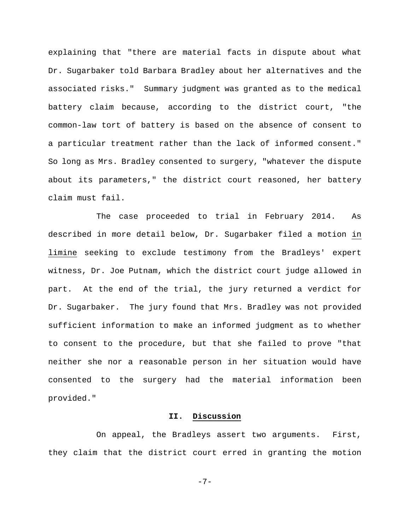explaining that "there are material facts in dispute about what Dr. Sugarbaker told Barbara Bradley about her alternatives and the associated risks." Summary judgment was granted as to the medical battery claim because, according to the district court, "the common-law tort of battery is based on the absence of consent to a particular treatment rather than the lack of informed consent." So long as Mrs. Bradley consented to surgery, "whatever the dispute about its parameters," the district court reasoned, her battery claim must fail.

The case proceeded to trial in February 2014. As described in more detail below, Dr. Sugarbaker filed a motion in limine seeking to exclude testimony from the Bradleys' expert witness, Dr. Joe Putnam, which the district court judge allowed in part. At the end of the trial, the jury returned a verdict for Dr. Sugarbaker. The jury found that Mrs. Bradley was not provided sufficient information to make an informed judgment as to whether to consent to the procedure, but that she failed to prove "that neither she nor a reasonable person in her situation would have consented to the surgery had the material information been provided."

# **II. Discussion**

On appeal, the Bradleys assert two arguments. First, they claim that the district court erred in granting the motion

-7-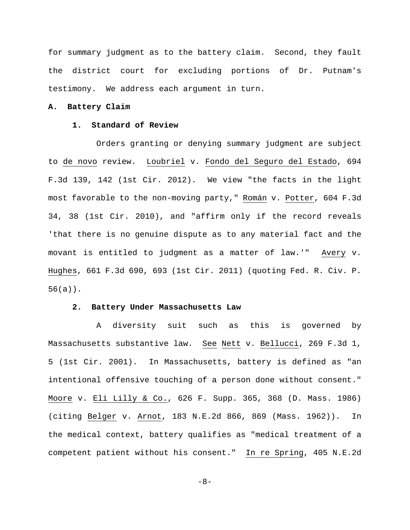for summary judgment as to the battery claim. Second, they fault the district court for excluding portions of Dr. Putnam's testimony. We address each argument in turn.

## **A. Battery Claim**

## **1. Standard of Review**

Orders granting or denying summary judgment are subject to de novo review. Loubriel v. Fondo del Seguro del Estado, 694 F.3d 139, 142 (1st Cir. 2012). We view "the facts in the light most favorable to the non-moving party," Román v. Potter, 604 F.3d 34, 38 (1st Cir. 2010), and "affirm only if the record reveals 'that there is no genuine dispute as to any material fact and the movant is entitled to judgment as a matter of law.'" Avery v. Hughes, 661 F.3d 690, 693 (1st Cir. 2011) (quoting Fed. R. Civ. P. 56(a)).

### **2. Battery Under Massachusetts Law**

A diversity suit such as this is governed by Massachusetts substantive law. See Nett v. Bellucci, 269 F.3d 1, 5 (1st Cir. 2001). In Massachusetts, battery is defined as "an intentional offensive touching of a person done without consent." Moore v. Eli Lilly & Co., 626 F. Supp. 365, 368 (D. Mass. 1986) (citing Belger v. Arnot, 183 N.E.2d 866, 869 (Mass. 1962)). In the medical context, battery qualifies as "medical treatment of a competent patient without his consent." In re Spring, 405 N.E.2d

-8-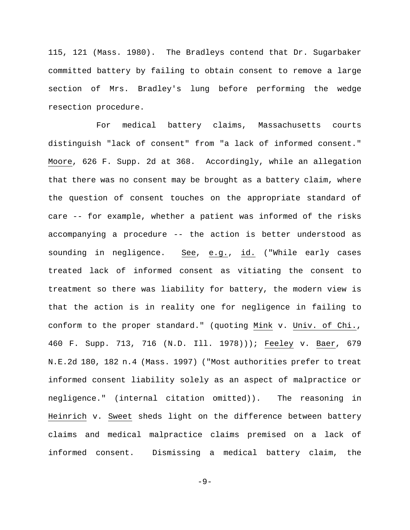115, 121 (Mass. 1980). The Bradleys contend that Dr. Sugarbaker committed battery by failing to obtain consent to remove a large section of Mrs. Bradley's lung before performing the wedge resection procedure.

For medical battery claims, Massachusetts courts distinguish "lack of consent" from "a lack of informed consent." Moore, 626 F. Supp. 2d at 368. Accordingly, while an allegation that there was no consent may be brought as a battery claim, where the question of consent touches on the appropriate standard of care -- for example, whether a patient was informed of the risks accompanying a procedure -- the action is better understood as sounding in negligence. See, e.g., id. ("While early cases treated lack of informed consent as vitiating the consent to treatment so there was liability for battery, the modern view is that the action is in reality one for negligence in failing to conform to the proper standard." (quoting Mink v. Univ. of Chi., 460 F. Supp. 713, 716 (N.D. Ill. 1978))); Feeley v. Baer, 679 N.E.2d 180, 182 n.4 (Mass. 1997) ("Most authorities prefer to treat informed consent liability solely as an aspect of malpractice or negligence." (internal citation omitted)). The reasoning in Heinrich v. Sweet sheds light on the difference between battery claims and medical malpractice claims premised on a lack of informed consent. Dismissing a medical battery claim, the

-9-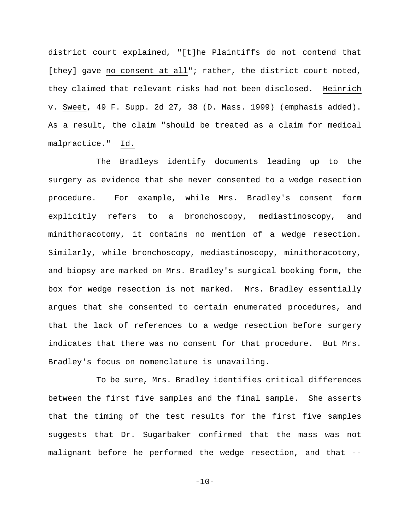district court explained, "[t]he Plaintiffs do not contend that [they] gave no consent at all"; rather, the district court noted, they claimed that relevant risks had not been disclosed. Heinrich v. Sweet, 49 F. Supp. 2d 27, 38 (D. Mass. 1999) (emphasis added). As a result, the claim "should be treated as a claim for medical malpractice." Id.

The Bradleys identify documents leading up to the surgery as evidence that she never consented to a wedge resection procedure. For example, while Mrs. Bradley's consent form explicitly refers to a bronchoscopy, mediastinoscopy, and minithoracotomy, it contains no mention of a wedge resection. Similarly, while bronchoscopy, mediastinoscopy, minithoracotomy, and biopsy are marked on Mrs. Bradley's surgical booking form, the box for wedge resection is not marked. Mrs. Bradley essentially argues that she consented to certain enumerated procedures, and that the lack of references to a wedge resection before surgery indicates that there was no consent for that procedure. But Mrs. Bradley's focus on nomenclature is unavailing.

To be sure, Mrs. Bradley identifies critical differences between the first five samples and the final sample. She asserts that the timing of the test results for the first five samples suggests that Dr. Sugarbaker confirmed that the mass was not malignant before he performed the wedge resection, and that --

 $-10-$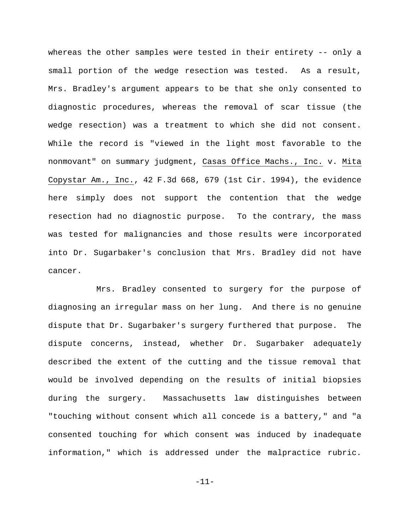whereas the other samples were tested in their entirety -- only a small portion of the wedge resection was tested. As a result, Mrs. Bradley's argument appears to be that she only consented to diagnostic procedures, whereas the removal of scar tissue (the wedge resection) was a treatment to which she did not consent. While the record is "viewed in the light most favorable to the nonmovant" on summary judgment, Casas Office Machs., Inc. v. Mita Copystar Am., Inc., 42 F.3d 668, 679 (1st Cir. 1994), the evidence here simply does not support the contention that the wedge resection had no diagnostic purpose. To the contrary, the mass was tested for malignancies and those results were incorporated into Dr. Sugarbaker's conclusion that Mrs. Bradley did not have cancer.

Mrs. Bradley consented to surgery for the purpose of diagnosing an irregular mass on her lung. And there is no genuine dispute that Dr. Sugarbaker's surgery furthered that purpose. The dispute concerns, instead, whether Dr. Sugarbaker adequately described the extent of the cutting and the tissue removal that would be involved depending on the results of initial biopsies during the surgery. Massachusetts law distinguishes between "touching without consent which all concede is a battery," and "a consented touching for which consent was induced by inadequate information," which is addressed under the malpractice rubric.

-11-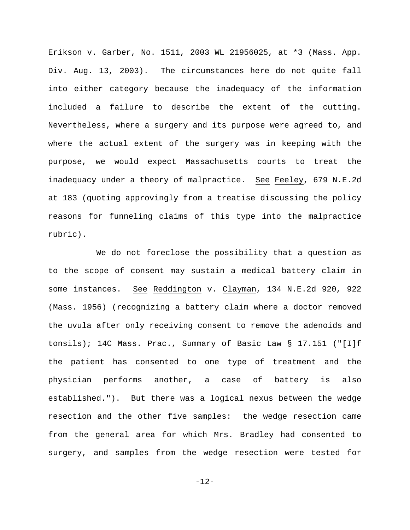Erikson v. Garber, No. 1511, 2003 WL 21956025, at \*3 (Mass. App. Div. Aug. 13, 2003). The circumstances here do not quite fall into either category because the inadequacy of the information included a failure to describe the extent of the cutting. Nevertheless, where a surgery and its purpose were agreed to, and where the actual extent of the surgery was in keeping with the purpose, we would expect Massachusetts courts to treat the inadequacy under a theory of malpractice. See Feeley, 679 N.E.2d at 183 (quoting approvingly from a treatise discussing the policy reasons for funneling claims of this type into the malpractice rubric).

We do not foreclose the possibility that a question as to the scope of consent may sustain a medical battery claim in some instances. See Reddington v. Clayman, 134 N.E.2d 920, 922 (Mass. 1956) (recognizing a battery claim where a doctor removed the uvula after only receiving consent to remove the adenoids and tonsils); 14C Mass. Prac., Summary of Basic Law § 17.151 ("[I]f the patient has consented to one type of treatment and the physician performs another, a case of battery is also established."). But there was a logical nexus between the wedge resection and the other five samples: the wedge resection came from the general area for which Mrs. Bradley had consented to surgery, and samples from the wedge resection were tested for

-12-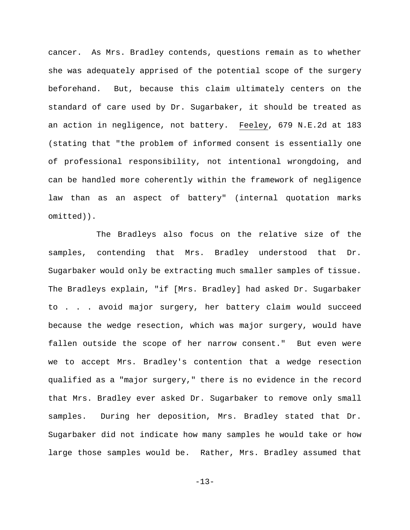cancer. As Mrs. Bradley contends, questions remain as to whether she was adequately apprised of the potential scope of the surgery beforehand. But, because this claim ultimately centers on the standard of care used by Dr. Sugarbaker, it should be treated as an action in negligence, not battery. Feeley, 679 N.E.2d at 183 (stating that "the problem of informed consent is essentially one of professional responsibility, not intentional wrongdoing, and can be handled more coherently within the framework of negligence law than as an aspect of battery" (internal quotation marks omitted)).

The Bradleys also focus on the relative size of the samples, contending that Mrs. Bradley understood that Dr. Sugarbaker would only be extracting much smaller samples of tissue. The Bradleys explain, "if [Mrs. Bradley] had asked Dr. Sugarbaker to . . . avoid major surgery, her battery claim would succeed because the wedge resection, which was major surgery, would have fallen outside the scope of her narrow consent." But even were we to accept Mrs. Bradley's contention that a wedge resection qualified as a "major surgery," there is no evidence in the record that Mrs. Bradley ever asked Dr. Sugarbaker to remove only small samples. During her deposition, Mrs. Bradley stated that Dr. Sugarbaker did not indicate how many samples he would take or how large those samples would be. Rather, Mrs. Bradley assumed that

-13-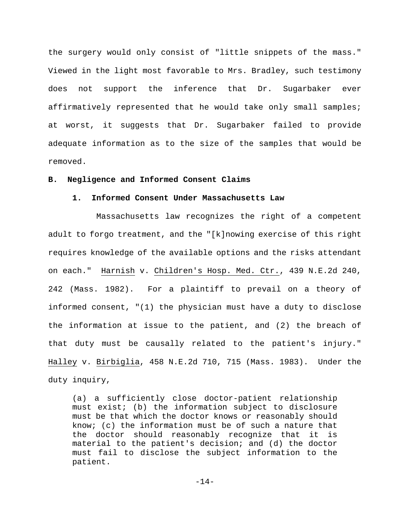the surgery would only consist of "little snippets of the mass." Viewed in the light most favorable to Mrs. Bradley, such testimony does not support the inference that Dr. Sugarbaker ever affirmatively represented that he would take only small samples; at worst, it suggests that Dr. Sugarbaker failed to provide adequate information as to the size of the samples that would be removed.

#### **B. Negligence and Informed Consent Claims**

#### **1. Informed Consent Under Massachusetts Law**

Massachusetts law recognizes the right of a competent adult to forgo treatment, and the "[k]nowing exercise of this right requires knowledge of the available options and the risks attendant on each." Harnish v. Children's Hosp. Med. Ctr., 439 N.E.2d 240, 242 (Mass. 1982). For a plaintiff to prevail on a theory of informed consent, "(1) the physician must have a duty to disclose the information at issue to the patient, and (2) the breach of that duty must be causally related to the patient's injury." Halley v. Birbiglia, 458 N.E.2d 710, 715 (Mass. 1983). Under the duty inquiry,

(a) a sufficiently close doctor-patient relationship must exist; (b) the information subject to disclosure must be that which the doctor knows or reasonably should know; (c) the information must be of such a nature that the doctor should reasonably recognize that it is material to the patient's decision; and (d) the doctor must fail to disclose the subject information to the patient.

-14-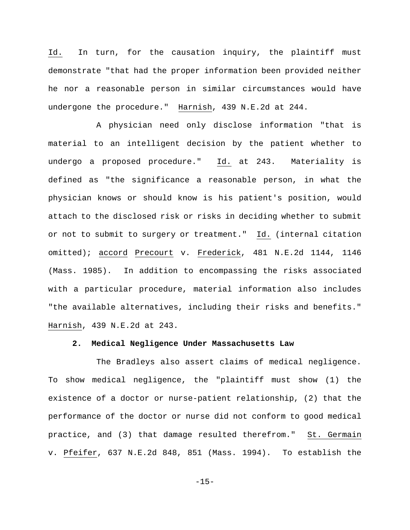Id. In turn, for the causation inquiry, the plaintiff must demonstrate "that had the proper information been provided neither he nor a reasonable person in similar circumstances would have undergone the procedure." Harnish, 439 N.E.2d at 244.

A physician need only disclose information "that is material to an intelligent decision by the patient whether to undergo a proposed procedure." Id. at 243. Materiality is defined as "the significance a reasonable person, in what the physician knows or should know is his patient's position, would attach to the disclosed risk or risks in deciding whether to submit or not to submit to surgery or treatment." Id. (internal citation omitted); accord Precourt v. Frederick, 481 N.E.2d 1144, 1146 (Mass. 1985). In addition to encompassing the risks associated with a particular procedure, material information also includes "the available alternatives, including their risks and benefits." Harnish, 439 N.E.2d at 243.

#### **2. Medical Negligence Under Massachusetts Law**

The Bradleys also assert claims of medical negligence. To show medical negligence, the "plaintiff must show (1) the existence of a doctor or nurse-patient relationship, (2) that the performance of the doctor or nurse did not conform to good medical practice, and (3) that damage resulted therefrom." St. Germain v. Pfeifer, 637 N.E.2d 848, 851 (Mass. 1994). To establish the

-15-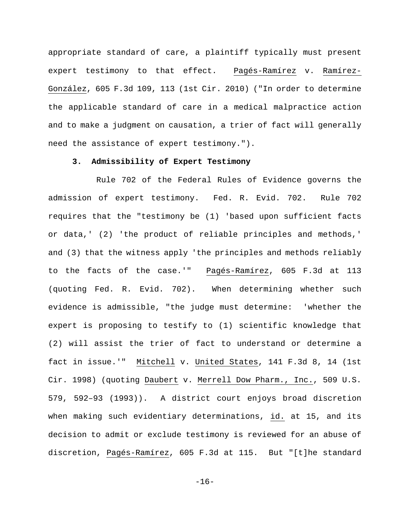appropriate standard of care, a plaintiff typically must present expert testimony to that effect. Pagés-Ramírez v. Ramírez-González, 605 F.3d 109, 113 (1st Cir. 2010) ("In order to determine the applicable standard of care in a medical malpractice action and to make a judgment on causation, a trier of fact will generally need the assistance of expert testimony.").

# **3. Admissibility of Expert Testimony**

Rule 702 of the Federal Rules of Evidence governs the admission of expert testimony. Fed. R. Evid. 702. Rule 702 requires that the "testimony be (1) 'based upon sufficient facts or data,' (2) 'the product of reliable principles and methods,' and (3) that the witness apply 'the principles and methods reliably to the facts of the case.'" Pagés-Ramírez, 605 F.3d at 113 (quoting Fed. R. Evid. 702). When determining whether such evidence is admissible, "the judge must determine: 'whether the expert is proposing to testify to (1) scientific knowledge that (2) will assist the trier of fact to understand or determine a fact in issue.'" Mitchell v. United States, 141 F.3d 8, 14 (1st Cir. 1998) (quoting Daubert v. Merrell Dow Pharm., Inc., 509 U.S. 579, 592–93 (1993)). A district court enjoys broad discretion when making such evidentiary determinations, id. at 15, and its decision to admit or exclude testimony is reviewed for an abuse of discretion, Pagés-Ramírez, 605 F.3d at 115. But "[t]he standard

-16-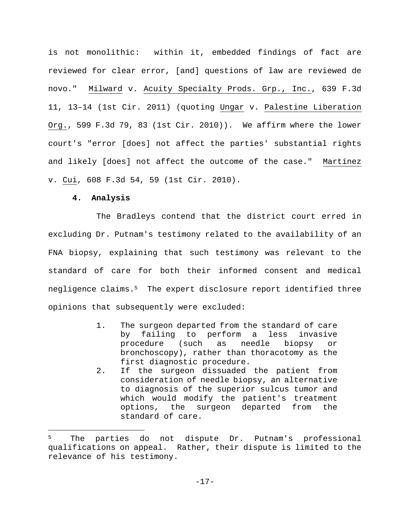is not monolithic: within it, embedded findings of fact are reviewed for clear error, [and] questions of law are reviewed de novo." Milward v. Acuity Specialty Prods. Grp., Inc., 639 F.3d 11, 13–14 (1st Cir. 2011) (quoting Ungar v. Palestine Liberation Org., 599 F.3d 79, 83 (1st Cir. 2010)). We affirm where the lower court's "error [does] not affect the parties' substantial rights and likely [does] not affect the outcome of the case." Martínez v. Cui, 608 F.3d 54, 59 (1st Cir. 2010).

#### **4. Analysis**

i

The Bradleys contend that the district court erred in excluding Dr. Putnam's testimony related to the availability of an FNA biopsy, explaining that such testimony was relevant to the standard of care for both their informed consent and medical negligence claims.5 The expert disclosure report identified three opinions that subsequently were excluded:

- 1. The surgeon departed from the standard of care by failing to perform a less invasive procedure (such as needle biopsy or bronchoscopy), rather than thoracotomy as the first diagnostic procedure.
- 2. If the surgeon dissuaded the patient from consideration of needle biopsy, an alternative to diagnosis of the superior sulcus tumor and which would modify the patient's treatment options, the surgeon departed from the standard of care.

The parties do not dispute Dr. Putnam's professional qualifications on appeal. Rather, their dispute is limited to the relevance of his testimony.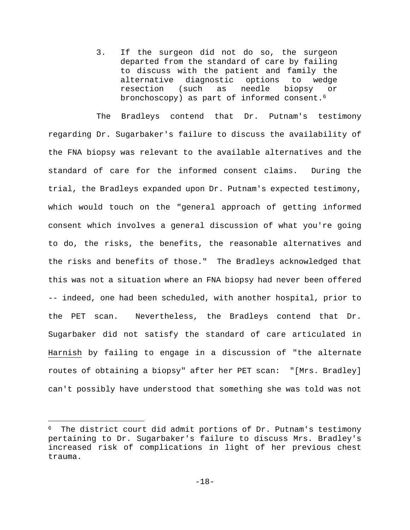3. If the surgeon did not do so, the surgeon departed from the standard of care by failing to discuss with the patient and family the alternative diagnostic options to wedge resection (such as needle biopsy or bronchoscopy) as part of informed consent.<sup>6</sup>

The Bradleys contend that Dr. Putnam's testimony regarding Dr. Sugarbaker's failure to discuss the availability of the FNA biopsy was relevant to the available alternatives and the standard of care for the informed consent claims. During the trial, the Bradleys expanded upon Dr. Putnam's expected testimony, which would touch on the "general approach of getting informed consent which involves a general discussion of what you're going to do, the risks, the benefits, the reasonable alternatives and the risks and benefits of those." The Bradleys acknowledged that this was not a situation where an FNA biopsy had never been offered -- indeed, one had been scheduled, with another hospital, prior to the PET scan. Nevertheless, the Bradleys contend that Dr. Sugarbaker did not satisfy the standard of care articulated in Harnish by failing to engage in a discussion of "the alternate routes of obtaining a biopsy" after her PET scan: "[Mrs. Bradley] can't possibly have understood that something she was told was not

The district court did admit portions of Dr. Putnam's testimony pertaining to Dr. Sugarbaker's failure to discuss Mrs. Bradley's increased risk of complications in light of her previous chest trauma.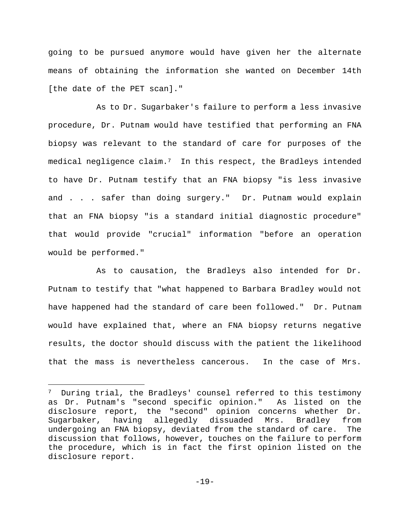going to be pursued anymore would have given her the alternate means of obtaining the information she wanted on December 14th [the date of the PET scan]."

As to Dr. Sugarbaker's failure to perform a less invasive procedure, Dr. Putnam would have testified that performing an FNA biopsy was relevant to the standard of care for purposes of the medical negligence claim.<sup>7</sup> In this respect, the Bradleys intended to have Dr. Putnam testify that an FNA biopsy "is less invasive and . . . safer than doing surgery." Dr. Putnam would explain that an FNA biopsy "is a standard initial diagnostic procedure" that would provide "crucial" information "before an operation would be performed."

As to causation, the Bradleys also intended for Dr. Putnam to testify that "what happened to Barbara Bradley would not have happened had the standard of care been followed." Dr. Putnam would have explained that, where an FNA biopsy returns negative results, the doctor should discuss with the patient the likelihood that the mass is nevertheless cancerous. In the case of Mrs.

i<br>Li

<sup>7</sup> During trial, the Bradleys' counsel referred to this testimony as Dr. Putnam's "second specific opinion." As listed on the disclosure report, the "second" opinion concerns whether Dr. Sugarbaker, having allegedly dissuaded Mrs. Bradley from undergoing an FNA biopsy, deviated from the standard of care. The discussion that follows, however, touches on the failure to perform the procedure, which is in fact the first opinion listed on the disclosure report.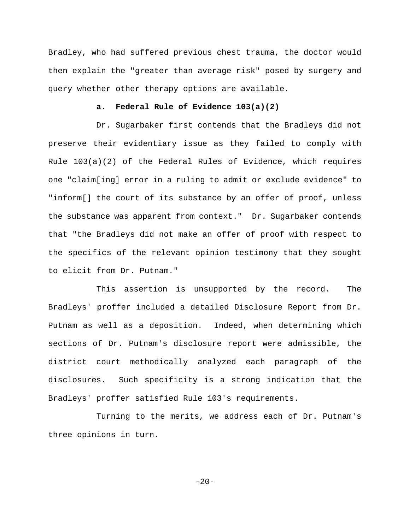Bradley, who had suffered previous chest trauma, the doctor would then explain the "greater than average risk" posed by surgery and query whether other therapy options are available.

## **a. Federal Rule of Evidence 103(a)(2)**

Dr. Sugarbaker first contends that the Bradleys did not preserve their evidentiary issue as they failed to comply with Rule 103(a)(2) of the Federal Rules of Evidence, which requires one "claim[ing] error in a ruling to admit or exclude evidence" to "inform[] the court of its substance by an offer of proof, unless the substance was apparent from context." Dr. Sugarbaker contends that "the Bradleys did not make an offer of proof with respect to the specifics of the relevant opinion testimony that they sought to elicit from Dr. Putnam."

This assertion is unsupported by the record. The Bradleys' proffer included a detailed Disclosure Report from Dr. Putnam as well as a deposition. Indeed, when determining which sections of Dr. Putnam's disclosure report were admissible, the district court methodically analyzed each paragraph of the disclosures. Such specificity is a strong indication that the Bradleys' proffer satisfied Rule 103's requirements.

Turning to the merits, we address each of Dr. Putnam's three opinions in turn.

 $-20-$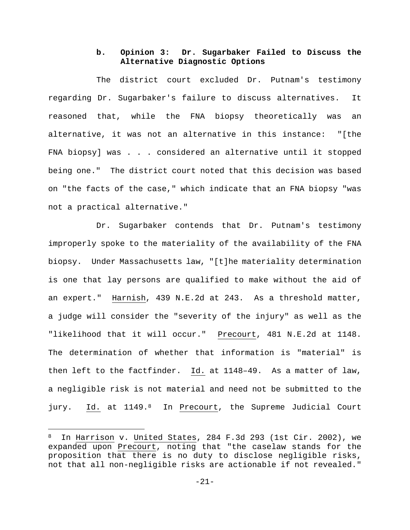# **b. Opinion 3: Dr. Sugarbaker Failed to Discuss the Alternative Diagnostic Options**

The district court excluded Dr. Putnam's testimony regarding Dr. Sugarbaker's failure to discuss alternatives. It reasoned that, while the FNA biopsy theoretically was an alternative, it was not an alternative in this instance: "[the FNA biopsy] was . . . considered an alternative until it stopped being one." The district court noted that this decision was based on "the facts of the case," which indicate that an FNA biopsy "was not a practical alternative."

Dr. Sugarbaker contends that Dr. Putnam's testimony improperly spoke to the materiality of the availability of the FNA biopsy. Under Massachusetts law, "[t]he materiality determination is one that lay persons are qualified to make without the aid of an expert." Harnish, 439 N.E.2d at 243. As a threshold matter, a judge will consider the "severity of the injury" as well as the "likelihood that it will occur." Precourt, 481 N.E.2d at 1148. The determination of whether that information is "material" is then left to the factfinder. Id. at 1148–49. As a matter of law, a negligible risk is not material and need not be submitted to the jury. Id. at 1149.8 In Precourt, the Supreme Judicial Court

<sup>8</sup> In Harrison v. United States, 284 F.3d 293 (1st Cir. 2002), we expanded upon Precourt, noting that "the caselaw stands for the proposition that there is no duty to disclose negligible risks, not that all non-negligible risks are actionable if not revealed."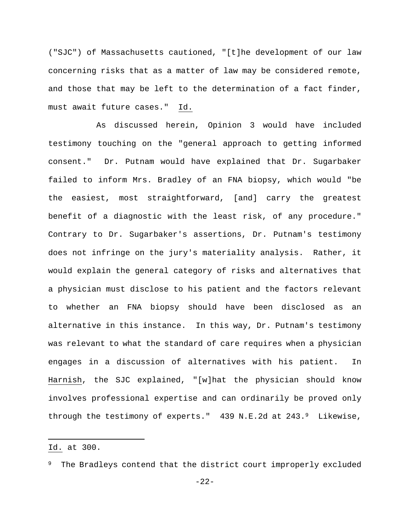("SJC") of Massachusetts cautioned, "[t]he development of our law concerning risks that as a matter of law may be considered remote, and those that may be left to the determination of a fact finder, must await future cases." Id.

As discussed herein, Opinion 3 would have included testimony touching on the "general approach to getting informed consent." Dr. Putnam would have explained that Dr. Sugarbaker failed to inform Mrs. Bradley of an FNA biopsy, which would "be the easiest, most straightforward, [and] carry the greatest benefit of a diagnostic with the least risk, of any procedure." Contrary to Dr. Sugarbaker's assertions, Dr. Putnam's testimony does not infringe on the jury's materiality analysis. Rather, it would explain the general category of risks and alternatives that a physician must disclose to his patient and the factors relevant to whether an FNA biopsy should have been disclosed as an alternative in this instance. In this way, Dr. Putnam's testimony was relevant to what the standard of care requires when a physician engages in a discussion of alternatives with his patient. In Harnish, the SJC explained, "[w]hat the physician should know involves professional expertise and can ordinarily be proved only through the testimony of experts." 439 N.E.2d at 243.9 Likewise,

i<br>Li

Id. at 300.

The Bradleys contend that the district court improperly excluded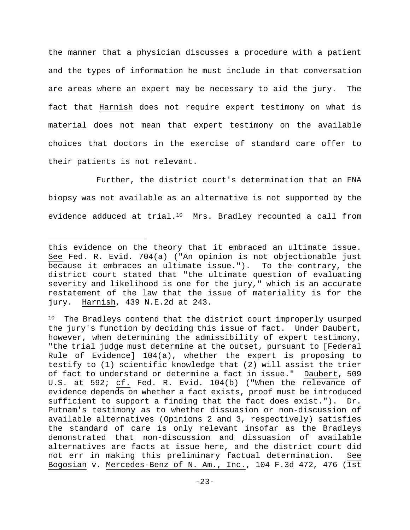the manner that a physician discusses a procedure with a patient and the types of information he must include in that conversation are areas where an expert may be necessary to aid the jury. The fact that Harnish does not require expert testimony on what is material does not mean that expert testimony on the available choices that doctors in the exercise of standard care offer to their patients is not relevant.

Further, the district court's determination that an FNA biopsy was not available as an alternative is not supported by the evidence adduced at trial.<sup>10</sup> Mrs. Bradley recounted a call from

i<br>Li

this evidence on the theory that it embraced an ultimate issue. See Fed. R. Evid. 704(a) ("An opinion is not objectionable just because it embraces an ultimate issue."). To the contrary, the district court stated that "the ultimate question of evaluating severity and likelihood is one for the jury," which is an accurate restatement of the law that the issue of materiality is for the jury. Harnish, 439 N.E.2d at 243.

<sup>&</sup>lt;sup>10</sup> The Bradleys contend that the district court improperly usurped the jury's function by deciding this issue of fact. Under Daubert, however, when determining the admissibility of expert testimony, "the trial judge must determine at the outset, pursuant to [Federal Rule of Evidence] 104(a), whether the expert is proposing to testify to (1) scientific knowledge that (2) will assist the trier of fact to understand or determine a fact in issue." Daubert, 509 U.S. at 592; cf. Fed. R. Evid. 104(b) ("When the relevance of evidence depends on whether a fact exists, proof must be introduced sufficient to support a finding that the fact does exist."). Dr. Putnam's testimony as to whether dissuasion or non-discussion of available alternatives (Opinions 2 and 3, respectively) satisfies the standard of care is only relevant insofar as the Bradleys demonstrated that non-discussion and dissuasion of available alternatives are facts at issue here, and the district court did not err in making this preliminary factual determination. See Bogosian v. Mercedes-Benz of N. Am., Inc., 104 F.3d 472, 476 (1st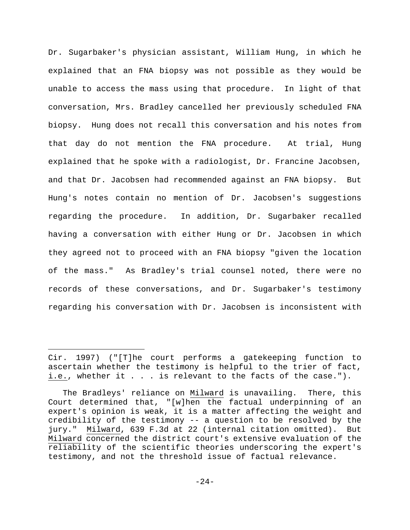Dr. Sugarbaker's physician assistant, William Hung, in which he explained that an FNA biopsy was not possible as they would be unable to access the mass using that procedure. In light of that conversation, Mrs. Bradley cancelled her previously scheduled FNA biopsy. Hung does not recall this conversation and his notes from that day do not mention the FNA procedure. At trial, Hung explained that he spoke with a radiologist, Dr. Francine Jacobsen, and that Dr. Jacobsen had recommended against an FNA biopsy. But Hung's notes contain no mention of Dr. Jacobsen's suggestions regarding the procedure. In addition, Dr. Sugarbaker recalled having a conversation with either Hung or Dr. Jacobsen in which they agreed not to proceed with an FNA biopsy "given the location of the mass." As Bradley's trial counsel noted, there were no records of these conversations, and Dr. Sugarbaker's testimony regarding his conversation with Dr. Jacobsen is inconsistent with

Cir. 1997) ("[T]he court performs a gatekeeping function to ascertain whether the testimony is helpful to the trier of fact, i.e., whether it . . . is relevant to the facts of the case.").

The Bradleys' reliance on Milward is unavailing. There, this Court determined that, "[w]hen the factual underpinning of an expert's opinion is weak, it is a matter affecting the weight and credibility of the testimony -- a question to be resolved by the jury." Milward, 639 F.3d at 22 (internal citation omitted). But Milward concerned the district court's extensive evaluation of the reliability of the scientific theories underscoring the expert's testimony, and not the threshold issue of factual relevance.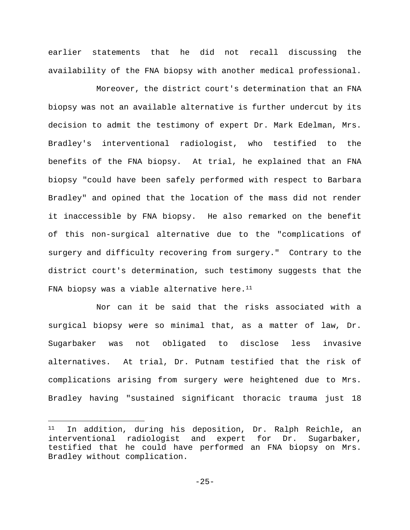earlier statements that he did not recall discussing the availability of the FNA biopsy with another medical professional.

Moreover, the district court's determination that an FNA biopsy was not an available alternative is further undercut by its decision to admit the testimony of expert Dr. Mark Edelman, Mrs. Bradley's interventional radiologist, who testified to the benefits of the FNA biopsy. At trial, he explained that an FNA biopsy "could have been safely performed with respect to Barbara Bradley" and opined that the location of the mass did not render it inaccessible by FNA biopsy. He also remarked on the benefit of this non-surgical alternative due to the "complications of surgery and difficulty recovering from surgery." Contrary to the district court's determination, such testimony suggests that the FNA biopsy was a viable alternative here. $11$ 

Nor can it be said that the risks associated with a surgical biopsy were so minimal that, as a matter of law, Dr. Sugarbaker was not obligated to disclose less invasive alternatives. At trial, Dr. Putnam testified that the risk of complications arising from surgery were heightened due to Mrs. Bradley having "sustained significant thoracic trauma just 18

<sup>11</sup> In addition, during his deposition, Dr. Ralph Reichle, an interventional radiologist and expert for Dr. Sugarbaker, testified that he could have performed an FNA biopsy on Mrs. Bradley without complication.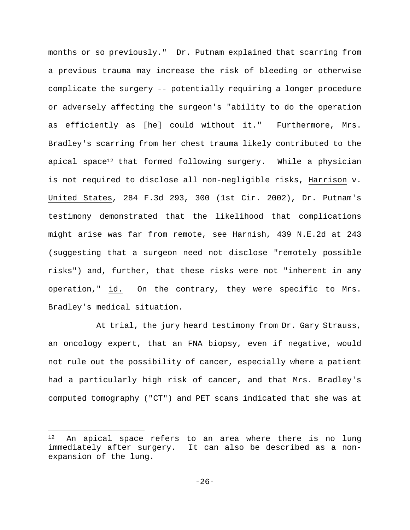months or so previously." Dr. Putnam explained that scarring from a previous trauma may increase the risk of bleeding or otherwise complicate the surgery -- potentially requiring a longer procedure or adversely affecting the surgeon's "ability to do the operation as efficiently as [he] could without it."Furthermore, Mrs. Bradley's scarring from her chest trauma likely contributed to the apical space<sup>12</sup> that formed following surgery. While a physician is not required to disclose all non-negligible risks, Harrison v. United States, 284 F.3d 293, 300 (1st Cir. 2002), Dr. Putnam's testimony demonstrated that the likelihood that complications might arise was far from remote, see Harnish, 439 N.E.2d at 243 (suggesting that a surgeon need not disclose "remotely possible risks") and, further, that these risks were not "inherent in any operation," id. On the contrary, they were specific to Mrs. Bradley's medical situation.

At trial, the jury heard testimony from Dr. Gary Strauss, an oncology expert, that an FNA biopsy, even if negative, would not rule out the possibility of cancer, especially where a patient had a particularly high risk of cancer, and that Mrs. Bradley's computed tomography ("CT") and PET scans indicated that she was at

<sup>&</sup>lt;sup>12</sup> An apical space refers to an area where there is no lung immediately after surgery. It can also be described as a nonexpansion of the lung.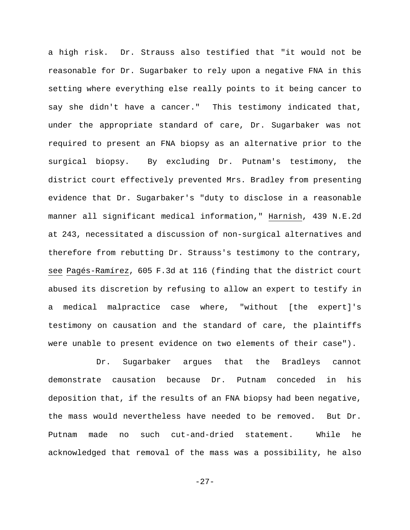a high risk. Dr. Strauss also testified that "it would not be reasonable for Dr. Sugarbaker to rely upon a negative FNA in this setting where everything else really points to it being cancer to say she didn't have a cancer." This testimony indicated that, under the appropriate standard of care, Dr. Sugarbaker was not required to present an FNA biopsy as an alternative prior to the surgical biopsy. By excluding Dr. Putnam's testimony, the district court effectively prevented Mrs. Bradley from presenting evidence that Dr. Sugarbaker's "duty to disclose in a reasonable manner all significant medical information," Harnish, 439 N.E.2d at 243, necessitated a discussion of non-surgical alternatives and therefore from rebutting Dr. Strauss's testimony to the contrary, see Pagés-Ramírez, 605 F.3d at 116 (finding that the district court abused its discretion by refusing to allow an expert to testify in a medical malpractice case where, "without [the expert]'s testimony on causation and the standard of care, the plaintiffs were unable to present evidence on two elements of their case").

Dr. Sugarbaker argues that the Bradleys cannot demonstrate causation because Dr. Putnam conceded in his deposition that, if the results of an FNA biopsy had been negative, the mass would nevertheless have needed to be removed. But Dr. Putnam made no such cut-and-dried statement. While he acknowledged that removal of the mass was a possibility, he also

-27-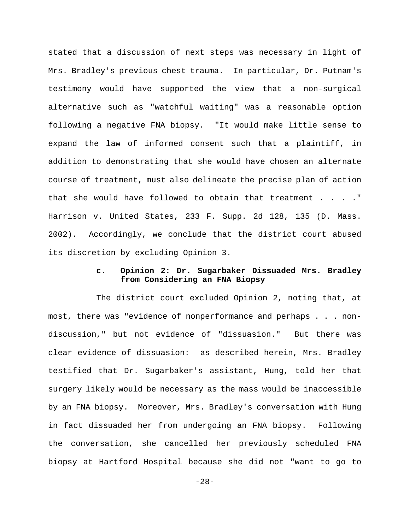stated that a discussion of next steps was necessary in light of Mrs. Bradley's previous chest trauma. In particular, Dr. Putnam's testimony would have supported the view that a non-surgical alternative such as "watchful waiting" was a reasonable option following a negative FNA biopsy. "It would make little sense to expand the law of informed consent such that a plaintiff, in addition to demonstrating that she would have chosen an alternate course of treatment, must also delineate the precise plan of action that she would have followed to obtain that treatment . . . ." Harrison v. United States, 233 F. Supp. 2d 128, 135 (D. Mass. 2002). Accordingly, we conclude that the district court abused its discretion by excluding Opinion 3.

# **c. Opinion 2: Dr. Sugarbaker Dissuaded Mrs. Bradley from Considering an FNA Biopsy**

The district court excluded Opinion 2, noting that, at most, there was "evidence of nonperformance and perhaps . . . nondiscussion," but not evidence of "dissuasion." But there was clear evidence of dissuasion: as described herein, Mrs. Bradley testified that Dr. Sugarbaker's assistant, Hung, told her that surgery likely would be necessary as the mass would be inaccessible by an FNA biopsy. Moreover, Mrs. Bradley's conversation with Hung in fact dissuaded her from undergoing an FNA biopsy. Following the conversation, she cancelled her previously scheduled FNA biopsy at Hartford Hospital because she did not "want to go to

-28-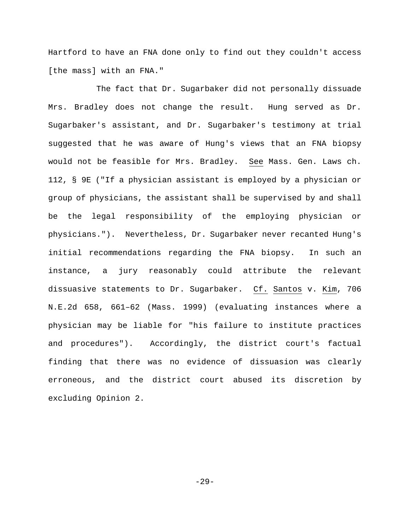Hartford to have an FNA done only to find out they couldn't access [the mass] with an FNA."

The fact that Dr. Sugarbaker did not personally dissuade Mrs. Bradley does not change the result. Hung served as Dr. Sugarbaker's assistant, and Dr. Sugarbaker's testimony at trial suggested that he was aware of Hung's views that an FNA biopsy would not be feasible for Mrs. Bradley. See Mass. Gen. Laws ch. 112, § 9E ("If a physician assistant is employed by a physician or group of physicians, the assistant shall be supervised by and shall be the legal responsibility of the employing physician or physicians."). Nevertheless, Dr. Sugarbaker never recanted Hung's initial recommendations regarding the FNA biopsy. In such an instance, a jury reasonably could attribute the relevant dissuasive statements to Dr. Sugarbaker. Cf. Santos v. Kim, 706 N.E.2d 658, 661–62 (Mass. 1999) (evaluating instances where a physician may be liable for "his failure to institute practices and procedures"). Accordingly, the district court's factual finding that there was no evidence of dissuasion was clearly erroneous, and the district court abused its discretion by excluding Opinion 2.

-29-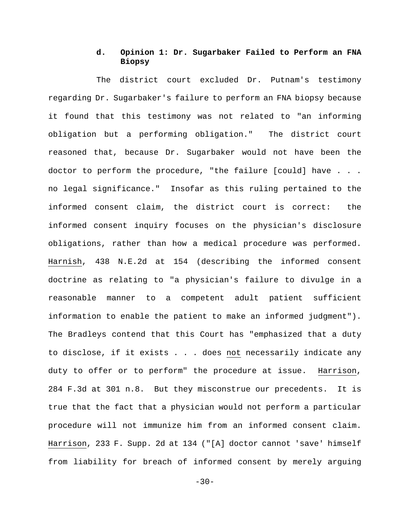## **d. Opinion 1: Dr. Sugarbaker Failed to Perform an FNA Biopsy**

The district court excluded Dr. Putnam's testimony regarding Dr. Sugarbaker's failure to perform an FNA biopsy because it found that this testimony was not related to "an informing obligation but a performing obligation." The district court reasoned that, because Dr. Sugarbaker would not have been the doctor to perform the procedure, "the failure [could] have . . . no legal significance." Insofar as this ruling pertained to the informed consent claim, the district court is correct: the informed consent inquiry focuses on the physician's disclosure obligations, rather than how a medical procedure was performed. Harnish, 438 N.E.2d at 154 (describing the informed consent doctrine as relating to "a physician's failure to divulge in a reasonable manner to a competent adult patient sufficient information to enable the patient to make an informed judgment"). The Bradleys contend that this Court has "emphasized that a duty to disclose, if it exists . . . does not necessarily indicate any duty to offer or to perform" the procedure at issue. Harrison, 284 F.3d at 301 n.8. But they misconstrue our precedents. It is true that the fact that a physician would not perform a particular procedure will not immunize him from an informed consent claim. Harrison, 233 F. Supp. 2d at 134 ("[A] doctor cannot 'save' himself from liability for breach of informed consent by merely arguing

 $-30-$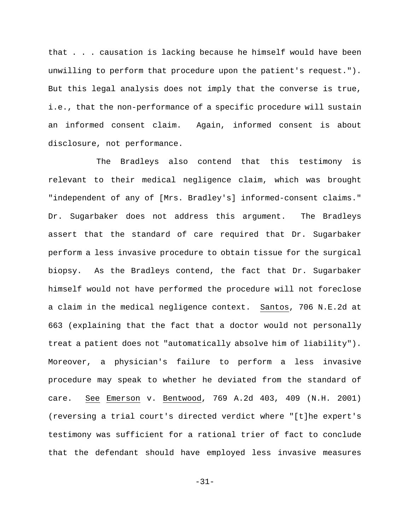that . . . causation is lacking because he himself would have been unwilling to perform that procedure upon the patient's request."). But this legal analysis does not imply that the converse is true, i.e., that the non-performance of a specific procedure will sustain an informed consent claim. Again, informed consent is about disclosure, not performance.

The Bradleys also contend that this testimony is relevant to their medical negligence claim, which was brought "independent of any of [Mrs. Bradley's] informed-consent claims." Dr. Sugarbaker does not address this argument. The Bradleys assert that the standard of care required that Dr. Sugarbaker perform a less invasive procedure to obtain tissue for the surgical biopsy. As the Bradleys contend, the fact that Dr. Sugarbaker himself would not have performed the procedure will not foreclose a claim in the medical negligence context. Santos, 706 N.E.2d at 663 (explaining that the fact that a doctor would not personally treat a patient does not "automatically absolve him of liability"). Moreover, a physician's failure to perform a less invasive procedure may speak to whether he deviated from the standard of care. See Emerson v. Bentwood, 769 A.2d 403, 409 (N.H. 2001) (reversing a trial court's directed verdict where "[t]he expert's testimony was sufficient for a rational trier of fact to conclude that the defendant should have employed less invasive measures

-31-